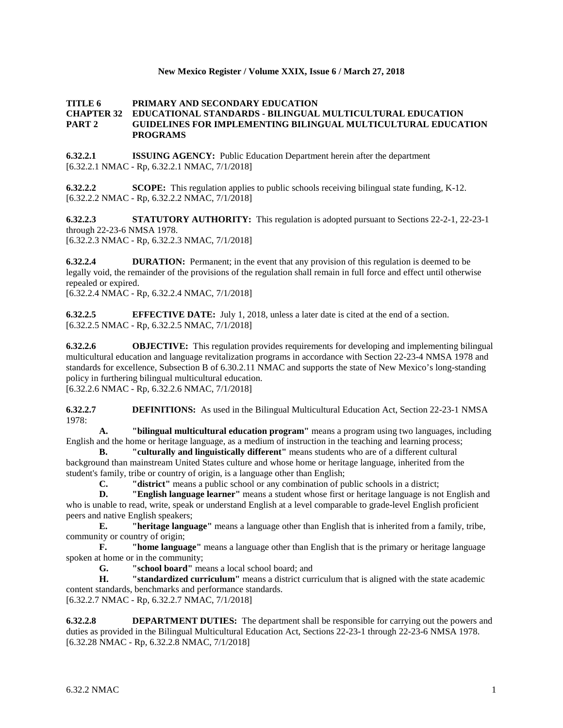#### **New Mexico Register / Volume XXIX, Issue 6 / March 27, 2018**

#### **TITLE 6 PRIMARY AND SECONDARY EDUCATION CHAPTER 32 EDUCATIONAL STANDARDS - BILINGUAL MULTICULTURAL EDUCATION PART 2 GUIDELINES FOR IMPLEMENTING BILINGUAL MULTICULTURAL EDUCATION PROGRAMS**

**6.32.2.1 ISSUING AGENCY:** Public Education Department herein after the department [6.32.2.1 NMAC - Rp, 6.32.2.1 NMAC, 7/1/2018]

**6.32.2.2 SCOPE:** This regulation applies to public schools receiving bilingual state funding, K-12. [6.32.2.2 NMAC - Rp, 6.32.2.2 NMAC, 7/1/2018]

**6.32.2.3 STATUTORY AUTHORITY:** This regulation is adopted pursuant to Sections 22-2-1, 22-23-1 through 22-23-6 NMSA 1978. [6.32.2.3 NMAC - Rp, 6.32.2.3 NMAC, 7/1/2018]

**6.32.2.4 DURATION:** Permanent; in the event that any provision of this regulation is deemed to be legally void, the remainder of the provisions of the regulation shall remain in full force and effect until otherwise repealed or expired.

[6.32.2.4 NMAC - Rp, 6.32.2.4 NMAC, 7/1/2018]

**6.32.2.5 EFFECTIVE DATE:** July 1, 2018, unless a later date is cited at the end of a section. [6.32.2.5 NMAC - Rp, 6.32.2.5 NMAC, 7/1/2018]

**6.32.2.6 OBJECTIVE:** This regulation provides requirements for developing and implementing bilingual multicultural education and language revitalization programs in accordance with Section 22-23-4 NMSA 1978 and standards for excellence, Subsection B of 6.30.2.11 NMAC and supports the state of New Mexico's long-standing policy in furthering bilingual multicultural education.

[6.32.2.6 NMAC - Rp, 6.32.2.6 NMAC, 7/1/2018]

**6.32.2.7 DEFINITIONS:** As used in the Bilingual Multicultural Education Act, Section 22-23-1 NMSA 1978:

**A. "bilingual multicultural education program"** means a program using two languages, including English and the home or heritage language, as a medium of instruction in the teaching and learning process;

**B. "culturally and linguistically different"** means students who are of a different cultural background than mainstream United States culture and whose home or heritage language, inherited from the student's family, tribe or country of origin, is a language other than English;

**C. "district"** means a public school or any combination of public schools in a district;<br>**D. "English language learner"** means a student whose first or heritage language is no

**D. "English language learner"** means a student whose first or heritage language is not English and who is unable to read, write, speak or understand English at a level comparable to grade-level English proficient peers and native English speakers;

**E. "heritage language"** means a language other than English that is inherited from a family, tribe, community or country of origin;

**F. "home language"** means a language other than English that is the primary or heritage language spoken at home or in the community;

**G. "school board"** means a local school board; and

**H. "standardized curriculum"** means a district curriculum that is aligned with the state academic content standards, benchmarks and performance standards.

[6.32.2.7 NMAC - Rp, 6.32.2.7 NMAC, 7/1/2018]

**6.32.2.8 DEPARTMENT DUTIES:** The department shall be responsible for carrying out the powers and duties as provided in the Bilingual Multicultural Education Act, Sections 22-23-1 through 22-23-6 NMSA 1978. [6.32.28 NMAC - Rp, 6.32.2.8 NMAC, 7/1/2018]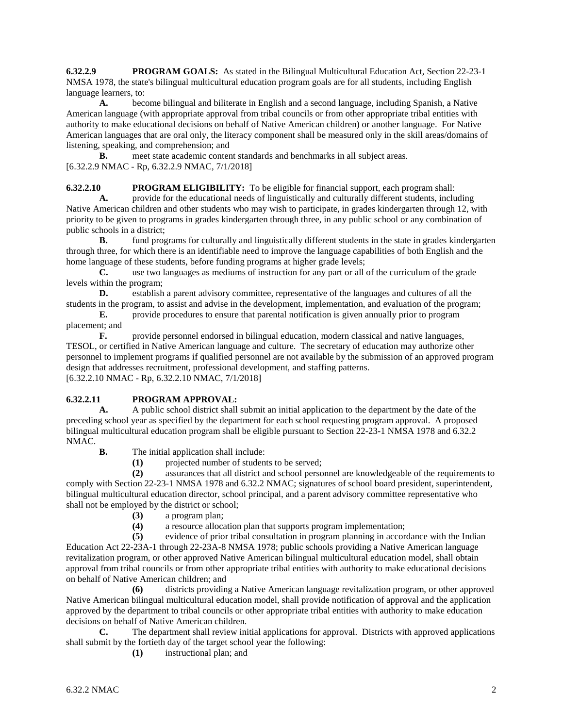**6.32.2.9 PROGRAM GOALS:** As stated in the Bilingual Multicultural Education Act, Section 22-23-1 NMSA 1978, the state's bilingual multicultural education program goals are for all students, including English language learners, to:

**A.** become bilingual and biliterate in English and a second language, including Spanish, a Native American language (with appropriate approval from tribal councils or from other appropriate tribal entities with authority to make educational decisions on behalf of Native American children) or another language. For Native American languages that are oral only, the literacy component shall be measured only in the skill areas/domains of listening, speaking, and comprehension; and

**B.** meet state academic content standards and benchmarks in all subject areas. [6.32.2.9 NMAC - Rp, 6.32.2.9 NMAC, 7/1/2018]

**6.32.2.10 PROGRAM ELIGIBILITY:** To be eligible for financial support, each program shall:

**A.** provide for the educational needs of linguistically and culturally different students, including Native American children and other students who may wish to participate, in grades kindergarten through 12, with priority to be given to programs in grades kindergarten through three, in any public school or any combination of public schools in a district;

**B.** fund programs for culturally and linguistically different students in the state in grades kindergarten through three, for which there is an identifiable need to improve the language capabilities of both English and the home language of these students, before funding programs at higher grade levels;<br>
C. use two languages as mediums of instruction for any part or all

**C.** use two languages as mediums of instruction for any part or all of the curriculum of the grade levels within the program;

**D.** establish a parent advisory committee, representative of the languages and cultures of all the students in the program, to assist and advise in the development, implementation, and evaluation of the program;

**E.** provide procedures to ensure that parental notification is given annually prior to program placement; and  $\overline{F}$ .

**F.** provide personnel endorsed in bilingual education, modern classical and native languages, TESOL, or certified in Native American language and culture. The secretary of education may authorize other personnel to implement programs if qualified personnel are not available by the submission of an approved program design that addresses recruitment, professional development, and staffing patterns. [6.32.2.10 NMAC - Rp, 6.32.2.10 NMAC, 7/1/2018]

## **6.32.2.11 PROGRAM APPROVAL:**

**A.** A public school district shall submit an initial application to the department by the date of the preceding school year as specified by the department for each school requesting program approval. A proposed bilingual multicultural education program shall be eligible pursuant to Section 22-23-1 NMSA 1978 and 6.32.2 NMAC.

**B.** The initial application shall include:

**(1)** projected number of students to be served;

**(2)** assurances that all district and school personnel are knowledgeable of the requirements to comply with Section 22-23-1 NMSA 1978 and 6.32.2 NMAC; signatures of school board president, superintendent, bilingual multicultural education director, school principal, and a parent advisory committee representative who shall not be employed by the district or school;

- **(3)** a program plan;
- **(4)** a resource allocation plan that supports program implementation;

**(5)** evidence of prior tribal consultation in program planning in accordance with the Indian Education Act 22-23A-1 through 22-23A-8 NMSA 1978; public schools providing a Native American language revitalization program, or other approved Native American bilingual multicultural education model, shall obtain approval from tribal councils or from other appropriate tribal entities with authority to make educational decisions on behalf of Native American children; and

**(6)** districts providing a Native American language revitalization program, or other approved Native American bilingual multicultural education model, shall provide notification of approval and the application approved by the department to tribal councils or other appropriate tribal entities with authority to make education decisions on behalf of Native American children.

**C.** The department shall review initial applications for approval. Districts with approved applications shall submit by the fortieth day of the target school year the following:

**(1)** instructional plan; and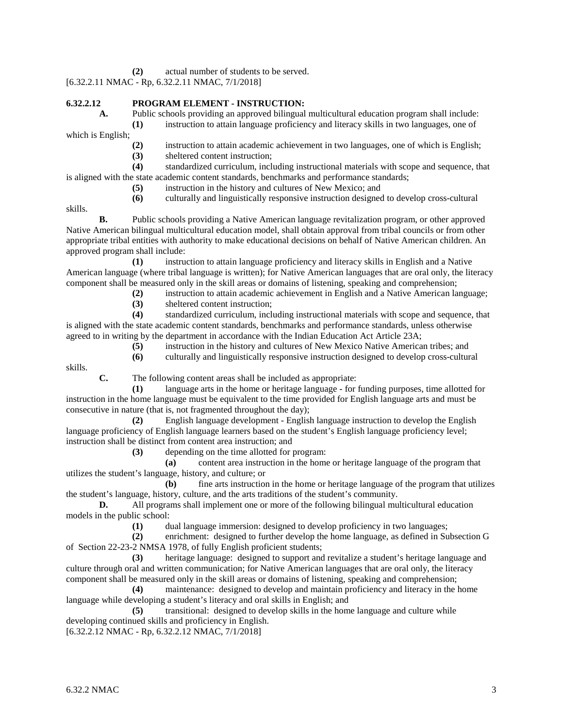**(2)** actual number of students to be served.

[6.32.2.11 NMAC - Rp, 6.32.2.11 NMAC, 7/1/2018]

### **6.32.2.12 PROGRAM ELEMENT - INSTRUCTION:**

**A.** Public schools providing an approved bilingual multicultural education program shall include:

**(1)** instruction to attain language proficiency and literacy skills in two languages, one of

which is English;

- **(2)** instruction to attain academic achievement in two languages, one of which is English;
- **(3)** sheltered content instruction;

**(4)** standardized curriculum, including instructional materials with scope and sequence, that is aligned with the state academic content standards, benchmarks and performance standards;

**(5)** instruction in the history and cultures of New Mexico; and

**(6)** culturally and linguistically responsive instruction designed to develop cross-cultural

skills.

**B.** Public schools providing a Native American language revitalization program, or other approved Native American bilingual multicultural education model, shall obtain approval from tribal councils or from other appropriate tribal entities with authority to make educational decisions on behalf of Native American children. An approved program shall include:

**(1)** instruction to attain language proficiency and literacy skills in English and a Native American language (where tribal language is written); for Native American languages that are oral only, the literacy component shall be measured only in the skill areas or domains of listening, speaking and comprehension;

**(2)** instruction to attain academic achievement in English and a Native American language;

**(3)** sheltered content instruction;

**(4)** standardized curriculum, including instructional materials with scope and sequence, that is aligned with the state academic content standards, benchmarks and performance standards, unless otherwise agreed to in writing by the department in accordance with the Indian Education Act Article 23A;

**(5)** instruction in the history and cultures of New Mexico Native American tribes; and

**(6)** culturally and linguistically responsive instruction designed to develop cross-cultural

skills.

**C.** The following content areas shall be included as appropriate:

**(1)** language arts in the home or heritage language - for funding purposes, time allotted for instruction in the home language must be equivalent to the time provided for English language arts and must be consecutive in nature (that is, not fragmented throughout the day);

**(2)** English language development - English language instruction to develop the English language proficiency of English language learners based on the student's English language proficiency level; instruction shall be distinct from content area instruction; and

**(3)** depending on the time allotted for program:

**(a)** content area instruction in the home or heritage language of the program that utilizes the student's language, history, and culture; or

**(b)** fine arts instruction in the home or heritage language of the program that utilizes the student's language, history, culture, and the arts traditions of the student's community.

**D.** All programs shall implement one or more of the following bilingual multicultural education models in the public school:

**(1)** dual language immersion: designed to develop proficiency in two languages;

**(2)** enrichment: designed to further develop the home language, as defined in Subsection G of Section 22-23-2 NMSA 1978, of fully English proficient students;

**(3)** heritage language: designed to support and revitalize a student's heritage language and culture through oral and written communication; for Native American languages that are oral only, the literacy component shall be measured only in the skill areas or domains of listening, speaking and comprehension;

**(4)** maintenance: designed to develop and maintain proficiency and literacy in the home language while developing a student's literacy and oral skills in English; and

**(5)** transitional: designed to develop skills in the home language and culture while developing continued skills and proficiency in English.

[6.32.2.12 NMAC - Rp, 6.32.2.12 NMAC, 7/1/2018]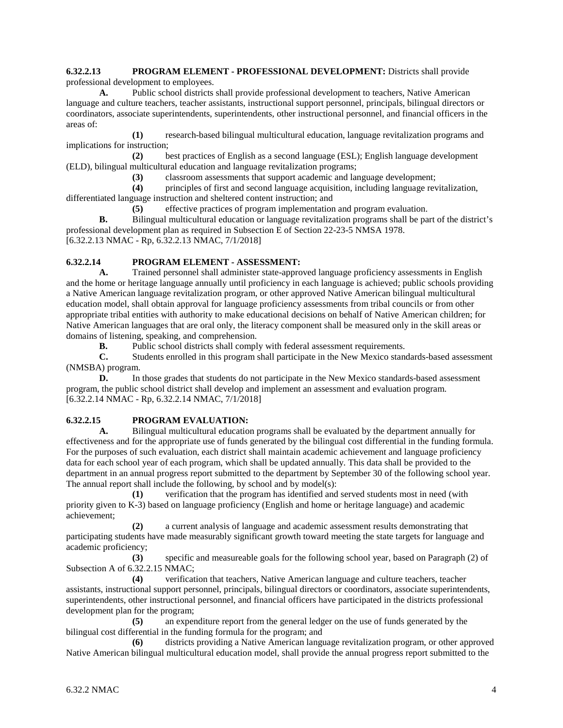**6.32.2.13 PROGRAM ELEMENT - PROFESSIONAL DEVELOPMENT:** Districts shall provide professional development to employees.

**A.** Public school districts shall provide professional development to teachers, Native American language and culture teachers, teacher assistants, instructional support personnel, principals, bilingual directors or coordinators, associate superintendents, superintendents, other instructional personnel, and financial officers in the areas of:

**(1)** research-based bilingual multicultural education, language revitalization programs and implications for instruction;

**(2)** best practices of English as a second language (ESL); English language development (ELD), bilingual multicultural education and language revitalization programs;

**(3)** classroom assessments that support academic and language development;

**(4)** principles of first and second language acquisition, including language revitalization, differentiated language instruction and sheltered content instruction; and

**(5)** effective practices of program implementation and program evaluation.

**B.** Bilingual multicultural education or language revitalization programs shall be part of the district's professional development plan as required in Subsection E of Section 22-23-5 NMSA 1978. [6.32.2.13 NMAC - Rp, 6.32.2.13 NMAC, 7/1/2018]

#### **6.32.2.14 PROGRAM ELEMENT - ASSESSMENT:**

**A.** Trained personnel shall administer state-approved language proficiency assessments in English and the home or heritage language annually until proficiency in each language is achieved; public schools providing a Native American language revitalization program, or other approved Native American bilingual multicultural education model, shall obtain approval for language proficiency assessments from tribal councils or from other appropriate tribal entities with authority to make educational decisions on behalf of Native American children; for Native American languages that are oral only, the literacy component shall be measured only in the skill areas or domains of listening, speaking, and comprehension.

**B.** Public school districts shall comply with federal assessment requirements.

**C.** Students enrolled in this program shall participate in the New Mexico standards-based assessment (NMSBA) program.

**D.** In those grades that students do not participate in the New Mexico standards-based assessment program, the public school district shall develop and implement an assessment and evaluation program. [6.32.2.14 NMAC - Rp, 6.32.2.14 NMAC, 7/1/2018]

# **6.32.2.15 PROGRAM EVALUATION:**

**A.** Bilingual multicultural education programs shall be evaluated by the department annually for effectiveness and for the appropriate use of funds generated by the bilingual cost differential in the funding formula. For the purposes of such evaluation, each district shall maintain academic achievement and language proficiency data for each school year of each program, which shall be updated annually. This data shall be provided to the department in an annual progress report submitted to the department by September 30 of the following school year. The annual report shall include the following, by school and by model(s):

**(1)** verification that the program has identified and served students most in need (with priority given to K-3) based on language proficiency (English and home or heritage language) and academic achievement;

**(2)** a current analysis of language and academic assessment results demonstrating that participating students have made measurably significant growth toward meeting the state targets for language and academic proficiency;

**(3)** specific and measureable goals for the following school year, based on Paragraph (2) of Subsection A of 6.32.2.15 NMAC;

**(4)** verification that teachers, Native American language and culture teachers, teacher assistants, instructional support personnel, principals, bilingual directors or coordinators, associate superintendents, superintendents, other instructional personnel, and financial officers have participated in the districts professional development plan for the program;

**(5)** an expenditure report from the general ledger on the use of funds generated by the bilingual cost differential in the funding formula for the program; and

**(6)** districts providing a Native American language revitalization program, or other approved Native American bilingual multicultural education model, shall provide the annual progress report submitted to the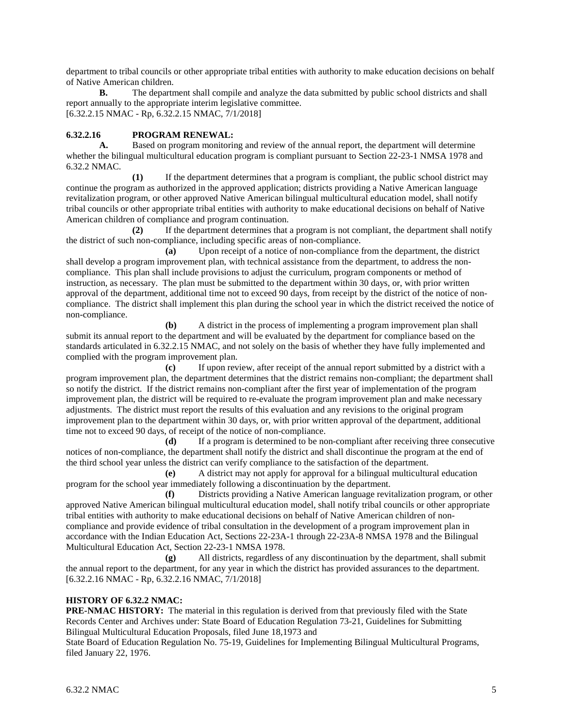department to tribal councils or other appropriate tribal entities with authority to make education decisions on behalf of Native American children.

**B.** The department shall compile and analyze the data submitted by public school districts and shall report annually to the appropriate interim legislative committee. [6.32.2.15 NMAC - Rp, 6.32.2.15 NMAC, 7/1/2018]

#### **6.32.2.16 PROGRAM RENEWAL:**

**A.** Based on program monitoring and review of the annual report, the department will determine whether the bilingual multicultural education program is compliant pursuant to Section 22-23-1 NMSA 1978 and 6.32.2 NMAC.

**(1)** If the department determines that a program is compliant, the public school district may continue the program as authorized in the approved application; districts providing a Native American language revitalization program, or other approved Native American bilingual multicultural education model, shall notify tribal councils or other appropriate tribal entities with authority to make educational decisions on behalf of Native American children of compliance and program continuation.

**(2)** If the department determines that a program is not compliant, the department shall notify the district of such non-compliance, including specific areas of non-compliance.

**(a)** Upon receipt of a notice of non-compliance from the department, the district shall develop a program improvement plan, with technical assistance from the department, to address the noncompliance. This plan shall include provisions to adjust the curriculum, program components or method of instruction, as necessary. The plan must be submitted to the department within 30 days, or, with prior written approval of the department, additional time not to exceed 90 days, from receipt by the district of the notice of noncompliance. The district shall implement this plan during the school year in which the district received the notice of non-compliance.

**(b)** A district in the process of implementing a program improvement plan shall submit its annual report to the department and will be evaluated by the department for compliance based on the standards articulated in 6.32.2.15 NMAC, and not solely on the basis of whether they have fully implemented and complied with the program improvement plan.

**(c)** If upon review, after receipt of the annual report submitted by a district with a program improvement plan, the department determines that the district remains non-compliant; the department shall so notify the district. If the district remains non-compliant after the first year of implementation of the program improvement plan, the district will be required to re-evaluate the program improvement plan and make necessary adjustments. The district must report the results of this evaluation and any revisions to the original program improvement plan to the department within 30 days, or, with prior written approval of the department, additional time not to exceed 90 days, of receipt of the notice of non-compliance.

**(d)** If a program is determined to be non-compliant after receiving three consecutive notices of non-compliance, the department shall notify the district and shall discontinue the program at the end of the third school year unless the district can verify compliance to the satisfaction of the department.

**(e)** A district may not apply for approval for a bilingual multicultural education program for the school year immediately following a discontinuation by the department.

**(f)** Districts providing a Native American language revitalization program, or other approved Native American bilingual multicultural education model, shall notify tribal councils or other appropriate tribal entities with authority to make educational decisions on behalf of Native American children of noncompliance and provide evidence of tribal consultation in the development of a program improvement plan in accordance with the Indian Education Act, Sections 22-23A-1 through 22-23A-8 NMSA 1978 and the Bilingual Multicultural Education Act, Section 22-23-1 NMSA 1978.

**(g)** All districts, regardless of any discontinuation by the department, shall submit the annual report to the department, for any year in which the district has provided assurances to the department. [6.32.2.16 NMAC - Rp, 6.32.2.16 NMAC, 7/1/2018]

#### **HISTORY OF 6.32.2 NMAC:**

**PRE-NMAC HISTORY:** The material in this regulation is derived from that previously filed with the State Records Center and Archives under: State Board of Education Regulation 73-21, Guidelines for Submitting Bilingual Multicultural Education Proposals, filed June 18,1973 and

State Board of Education Regulation No. 75-19, Guidelines for Implementing Bilingual Multicultural Programs, filed January 22, 1976.